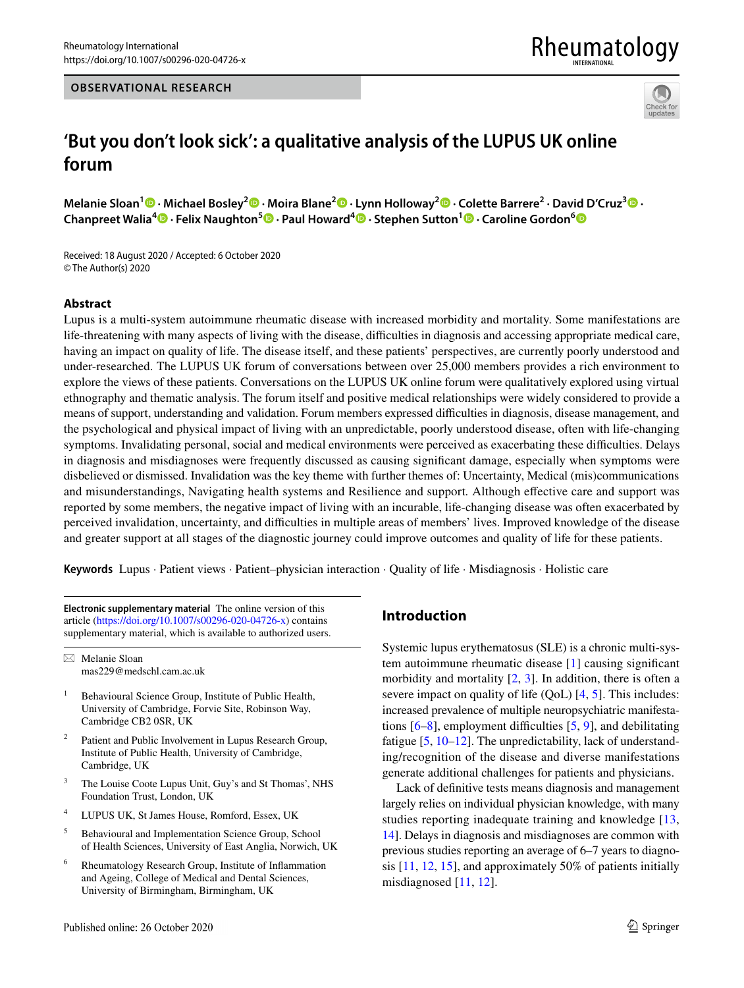#### **OBSERVATIONAL RESEARCH**





# **'But you don't look sick': a qualitative analysis of the LUPUS UK online forum**

**Melanie Sloan<sup>1</sup> · Michael Bosley<sup>2</sup>  [·](http://orcid.org/0000-0003-1096-5650) Moira Blane2 · Lynn Holloway2  [·](http://orcid.org/0000-0001-6897-8185) Colette Barrere2 · David D'Cruz[3](http://orcid.org/0000-0002-6983-8421) · Chanpreet Walia4 · Felix Naughton5 · Paul Howard4 · Stephen Sutton1  [·](http://orcid.org/0000-0003-1610-0404) Caroline Gordon[6](http://orcid.org/0000-0002-1244-6443)**

Received: 18 August 2020 / Accepted: 6 October 2020 © The Author(s) 2020

#### **Abstract**

Lupus is a multi-system autoimmune rheumatic disease with increased morbidity and mortality. Some manifestations are life-threatening with many aspects of living with the disease, difficulties in diagnosis and accessing appropriate medical care, having an impact on quality of life. The disease itself, and these patients' perspectives, are currently poorly understood and under-researched. The LUPUS UK forum of conversations between over 25,000 members provides a rich environment to explore the views of these patients. Conversations on the LUPUS UK online forum were qualitatively explored using virtual ethnography and thematic analysis. The forum itself and positive medical relationships were widely considered to provide a means of support, understanding and validation. Forum members expressed difficulties in diagnosis, disease management, and the psychological and physical impact of living with an unpredictable, poorly understood disease, often with life-changing symptoms. Invalidating personal, social and medical environments were perceived as exacerbating these difficulties. Delays in diagnosis and misdiagnoses were frequently discussed as causing signifcant damage, especially when symptoms were disbelieved or dismissed. Invalidation was the key theme with further themes of: Uncertainty, Medical (mis)communications and misunderstandings, Navigating health systems and Resilience and support*.* Although efective care and support was reported by some members, the negative impact of living with an incurable, life-changing disease was often exacerbated by perceived invalidation, uncertainty, and difculties in multiple areas of members' lives. Improved knowledge of the disease and greater support at all stages of the diagnostic journey could improve outcomes and quality of life for these patients.

**Keywords** Lupus · Patient views · Patient–physician interaction · Quality of life · Misdiagnosis · Holistic care

**Electronic supplementary material** The online version of this article [\(https://doi.org/10.1007/s00296-020-04726-x\)](https://doi.org/10.1007/s00296-020-04726-x) contains supplementary material, which is available to authorized users.

 $\boxtimes$  Melanie Sloan mas229@medschl.cam.ac.uk

- <sup>1</sup> Behavioural Science Group, Institute of Public Health, University of Cambridge, Forvie Site, Robinson Way, Cambridge CB2 0SR, UK
- <sup>2</sup> Patient and Public Involvement in Lupus Research Group, Institute of Public Health, University of Cambridge, Cambridge, UK
- <sup>3</sup> The Louise Coote Lupus Unit, Guy's and St Thomas', NHS Foundation Trust, London, UK
- <sup>4</sup> LUPUS UK, St James House, Romford, Essex, UK
- <sup>5</sup> Behavioural and Implementation Science Group, School of Health Sciences, University of East Anglia, Norwich, UK
- <sup>6</sup> Rheumatology Research Group, Institute of Infammation and Ageing, College of Medical and Dental Sciences, University of Birmingham, Birmingham, UK

# **Introduction**

Systemic lupus erythematosus (SLE) is a chronic multi-system autoimmune rheumatic disease [[1\]](#page-9-0) causing signifcant morbidity and mortality  $[2, 3]$  $[2, 3]$  $[2, 3]$  $[2, 3]$  $[2, 3]$ . In addition, there is often a severe impact on quality of life  $(QoL)$   $[4, 5]$  $[4, 5]$  $[4, 5]$  $[4, 5]$  $[4, 5]$ . This includes: increased prevalence of multiple neuropsychiatric manifestations  $[6–8]$  $[6–8]$  $[6–8]$ , employment difficulties  $[5, 9]$  $[5, 9]$  $[5, 9]$  $[5, 9]$  $[5, 9]$ , and debilitating fatigue [\[5](#page-10-1), [10](#page-10-5)[–12](#page-10-6)]. The unpredictability, lack of understanding/recognition of the disease and diverse manifestations generate additional challenges for patients and physicians.

Lack of defnitive tests means diagnosis and management largely relies on individual physician knowledge, with many studies reporting inadequate training and knowledge [\[13,](#page-10-7) [14](#page-10-8)]. Delays in diagnosis and misdiagnoses are common with previous studies reporting an average of 6–7 years to diagnosis [[11,](#page-10-9) [12,](#page-10-6) [15\]](#page-10-10), and approximately 50% of patients initially misdiagnosed [[11,](#page-10-9) [12\]](#page-10-6).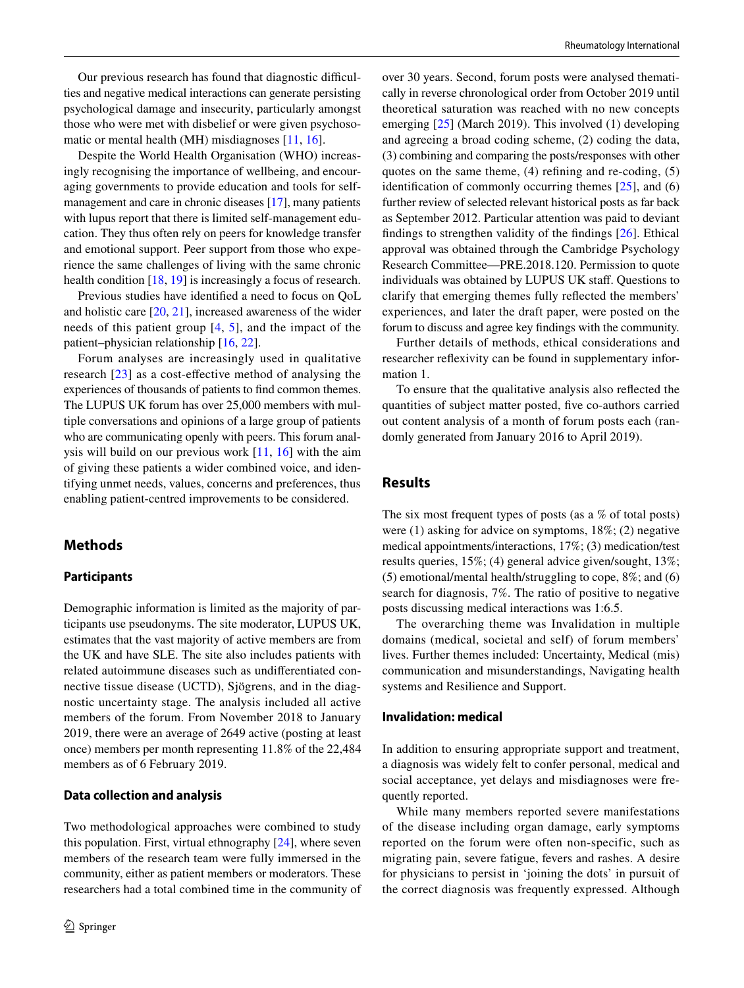Our previous research has found that diagnostic difficulties and negative medical interactions can generate persisting psychological damage and insecurity, particularly amongst those who were met with disbelief or were given psychosomatic or mental health (MH) misdiagnoses [[11,](#page-10-9) [16\]](#page-10-11).

Despite the World Health Organisation (WHO) increasingly recognising the importance of wellbeing, and encouraging governments to provide education and tools for selfmanagement and care in chronic diseases [\[17\]](#page-10-12), many patients with lupus report that there is limited self-management education. They thus often rely on peers for knowledge transfer and emotional support. Peer support from those who experience the same challenges of living with the same chronic health condition [[18,](#page-10-13) [19](#page-10-14)] is increasingly a focus of research.

Previous studies have identifed a need to focus on QoL and holistic care [[20,](#page-10-15) [21](#page-10-16)], increased awareness of the wider needs of this patient group [[4](#page-10-0), [5](#page-10-1)], and the impact of the patient–physician relationship [\[16](#page-10-11), [22](#page-10-17)].

Forum analyses are increasingly used in qualitative research [[23\]](#page-10-18) as a cost-efective method of analysing the experiences of thousands of patients to fnd common themes. The LUPUS UK forum has over 25,000 members with multiple conversations and opinions of a large group of patients who are communicating openly with peers. This forum analysis will build on our previous work [[11,](#page-10-9) [16](#page-10-11)] with the aim of giving these patients a wider combined voice, and identifying unmet needs, values, concerns and preferences, thus enabling patient-centred improvements to be considered.

# **Methods**

#### **Participants**

Demographic information is limited as the majority of participants use pseudonyms. The site moderator, LUPUS UK, estimates that the vast majority of active members are from the UK and have SLE. The site also includes patients with related autoimmune diseases such as undiferentiated connective tissue disease (UCTD), Sjögrens, and in the diagnostic uncertainty stage. The analysis included all active members of the forum. From November 2018 to January 2019, there were an average of 2649 active (posting at least once) members per month representing 11.8% of the 22,484 members as of 6 February 2019.

#### **Data collection and analysis**

Two methodological approaches were combined to study this population. First, virtual ethnography [\[24](#page-10-19)], where seven members of the research team were fully immersed in the community, either as patient members or moderators. These researchers had a total combined time in the community of over 30 years. Second, forum posts were analysed thematically in reverse chronological order from October 2019 until theoretical saturation was reached with no new concepts emerging [\[25](#page-10-20)] (March 2019). This involved (1) developing and agreeing a broad coding scheme, (2) coding the data, (3) combining and comparing the posts/responses with other quotes on the same theme, (4) refning and re-coding, (5) identification of commonly occurring themes  $[25]$  $[25]$ , and  $(6)$ further review of selected relevant historical posts as far back as September 2012. Particular attention was paid to deviant fndings to strengthen validity of the fndings [[26\]](#page-10-21). Ethical approval was obtained through the Cambridge Psychology Research Committee—PRE.2018.120. Permission to quote individuals was obtained by LUPUS UK staf. Questions to clarify that emerging themes fully refected the members' experiences, and later the draft paper, were posted on the forum to discuss and agree key fndings with the community.

Further details of methods, ethical considerations and researcher refexivity can be found in supplementary information 1.

To ensure that the qualitative analysis also refected the quantities of subject matter posted, fve co-authors carried out content analysis of a month of forum posts each (randomly generated from January 2016 to April 2019).

# **Results**

The six most frequent types of posts (as a % of total posts) were (1) asking for advice on symptoms, 18%; (2) negative medical appointments/interactions, 17%; (3) medication/test results queries, 15%; (4) general advice given/sought, 13%; (5) emotional/mental health/struggling to cope, 8%; and (6) search for diagnosis, 7%. The ratio of positive to negative posts discussing medical interactions was 1:6.5.

The overarching theme was Invalidation in multiple domains (medical, societal and self) of forum members' lives. Further themes included: Uncertainty, Medical (mis) communication and misunderstandings, Navigating health systems and Resilience and Support.

# **Invalidation: medical**

In addition to ensuring appropriate support and treatment, a diagnosis was widely felt to confer personal, medical and social acceptance, yet delays and misdiagnoses were frequently reported.

While many members reported severe manifestations of the disease including organ damage, early symptoms reported on the forum were often non-specific, such as migrating pain, severe fatigue, fevers and rashes. A desire for physicians to persist in 'joining the dots' in pursuit of the correct diagnosis was frequently expressed. Although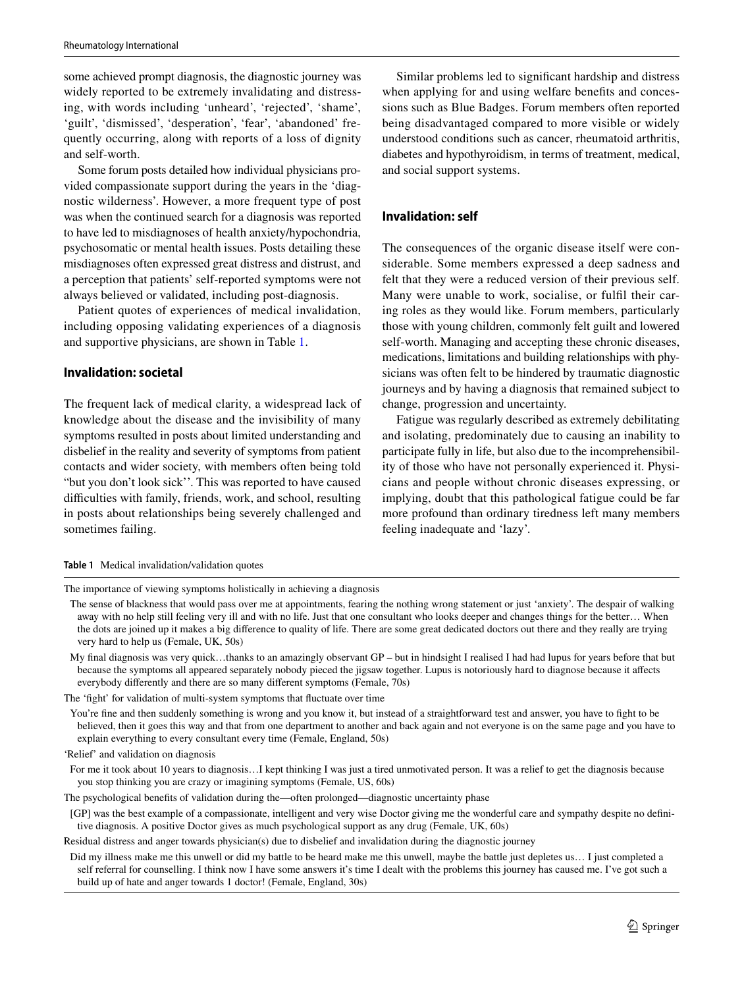some achieved prompt diagnosis, the diagnostic journey was widely reported to be extremely invalidating and distressing, with words including 'unheard', 'rejected', 'shame', 'guilt', 'dismissed', 'desperation', 'fear', 'abandoned' frequently occurring, along with reports of a loss of dignity and self-worth.

Some forum posts detailed how individual physicians provided compassionate support during the years in the 'diagnostic wilderness'. However, a more frequent type of post was when the continued search for a diagnosis was reported to have led to misdiagnoses of health anxiety/hypochondria, psychosomatic or mental health issues. Posts detailing these misdiagnoses often expressed great distress and distrust, and a perception that patients' self-reported symptoms were not always believed or validated, including post-diagnosis.

Patient quotes of experiences of medical invalidation, including opposing validating experiences of a diagnosis and supportive physicians, are shown in Table [1](#page-2-0).

# **Invalidation: societal**

The frequent lack of medical clarity, a widespread lack of knowledge about the disease and the invisibility of many symptoms resulted in posts about limited understanding and disbelief in the reality and severity of symptoms from patient contacts and wider society, with members often being told "but you don't look sick''. This was reported to have caused difficulties with family, friends, work, and school, resulting in posts about relationships being severely challenged and sometimes failing.

Similar problems led to signifcant hardship and distress when applying for and using welfare benefits and concessions such as Blue Badges. Forum members often reported being disadvantaged compared to more visible or widely understood conditions such as cancer, rheumatoid arthritis, diabetes and hypothyroidism, in terms of treatment, medical, and social support systems.

# **Invalidation: self**

The consequences of the organic disease itself were considerable. Some members expressed a deep sadness and felt that they were a reduced version of their previous self. Many were unable to work, socialise, or fulfl their caring roles as they would like. Forum members, particularly those with young children, commonly felt guilt and lowered self-worth. Managing and accepting these chronic diseases, medications, limitations and building relationships with physicians was often felt to be hindered by traumatic diagnostic journeys and by having a diagnosis that remained subject to change, progression and uncertainty.

Fatigue was regularly described as extremely debilitating and isolating, predominately due to causing an inability to participate fully in life, but also due to the incomprehensibility of those who have not personally experienced it. Physicians and people without chronic diseases expressing, or implying, doubt that this pathological fatigue could be far more profound than ordinary tiredness left many members feeling inadequate and 'lazy'.

<span id="page-2-0"></span>**Table 1** Medical invalidation/validation quotes

The importance of viewing symptoms holistically in achieving a diagnosis

- The sense of blackness that would pass over me at appointments, fearing the nothing wrong statement or just 'anxiety'. The despair of walking away with no help still feeling very ill and with no life. Just that one consultant who looks deeper and changes things for the better… When the dots are joined up it makes a big diference to quality of life. There are some great dedicated doctors out there and they really are trying very hard to help us (Female, UK, 50s)
- My fnal diagnosis was very quick…thanks to an amazingly observant GP but in hindsight I realised I had had lupus for years before that but because the symptoms all appeared separately nobody pieced the jigsaw together. Lupus is notoriously hard to diagnose because it afects everybody diferently and there are so many diferent symptoms (Female, 70s)

The 'fght' for validation of multi-system symptoms that fuctuate over time

You're fine and then suddenly something is wrong and you know it, but instead of a straightforward test and answer, you have to fight to be believed, then it goes this way and that from one department to another and back again and not everyone is on the same page and you have to explain everything to every consultant every time (Female, England, 50s)

'Relief' and validation on diagnosis

- For me it took about 10 years to diagnosis…I kept thinking I was just a tired unmotivated person. It was a relief to get the diagnosis because you stop thinking you are crazy or imagining symptoms (Female, US, 60s)
- The psychological benefts of validation during the—often prolonged—diagnostic uncertainty phase

 [GP] was the best example of a compassionate, intelligent and very wise Doctor giving me the wonderful care and sympathy despite no defnitive diagnosis. A positive Doctor gives as much psychological support as any drug (Female, UK, 60s)

Residual distress and anger towards physician(s) due to disbelief and invalidation during the diagnostic journey

Did my illness make me this unwell or did my battle to be heard make me this unwell, maybe the battle just depletes us... I just completed a self referral for counselling. I think now I have some answers it's time I dealt with the problems this journey has caused me. I've got such a build up of hate and anger towards 1 doctor! (Female, England, 30s)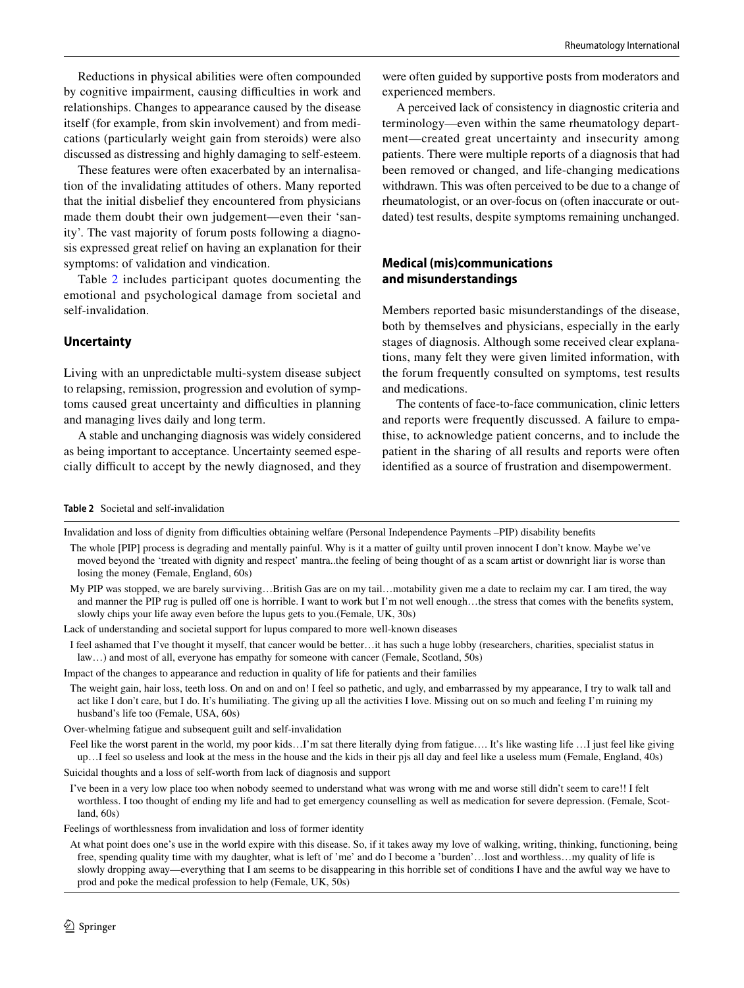Reductions in physical abilities were often compounded by cognitive impairment, causing difficulties in work and relationships. Changes to appearance caused by the disease itself (for example, from skin involvement) and from medications (particularly weight gain from steroids) were also discussed as distressing and highly damaging to self-esteem.

These features were often exacerbated by an internalisation of the invalidating attitudes of others. Many reported that the initial disbelief they encountered from physicians made them doubt their own judgement—even their 'sanity'. The vast majority of forum posts following a diagnosis expressed great relief on having an explanation for their symptoms: of validation and vindication.

Table [2](#page-3-0) includes participant quotes documenting the emotional and psychological damage from societal and self-invalidation.

# **Uncertainty**

Living with an unpredictable multi-system disease subject to relapsing, remission, progression and evolution of symptoms caused great uncertainty and difficulties in planning and managing lives daily and long term.

A stable and unchanging diagnosis was widely considered as being important to acceptance. Uncertainty seemed especially difficult to accept by the newly diagnosed, and they

were often guided by supportive posts from moderators and experienced members.

A perceived lack of consistency in diagnostic criteria and terminology—even within the same rheumatology department—created great uncertainty and insecurity among patients. There were multiple reports of a diagnosis that had been removed or changed, and life-changing medications withdrawn. This was often perceived to be due to a change of rheumatologist, or an over-focus on (often inaccurate or outdated) test results, despite symptoms remaining unchanged.

# **Medical (mis)communications and misunderstandings**

Members reported basic misunderstandings of the disease, both by themselves and physicians, especially in the early stages of diagnosis. Although some received clear explanations, many felt they were given limited information, with the forum frequently consulted on symptoms, test results and medications.

The contents of face-to-face communication, clinic letters and reports were frequently discussed. A failure to empathise, to acknowledge patient concerns, and to include the patient in the sharing of all results and reports were often identifed as a source of frustration and disempowerment.

#### <span id="page-3-0"></span>**Table 2** Societal and self-invalidation

Invalidation and loss of dignity from difculties obtaining welfare (Personal Independence Payments –PIP) disability benefts

- The whole [PIP] process is degrading and mentally painful. Why is it a matter of guilty until proven innocent I don't know. Maybe we've moved beyond the 'treated with dignity and respect' mantra..the feeling of being thought of as a scam artist or downright liar is worse than losing the money (Female, England, 60s)
- My PIP was stopped, we are barely surviving…British Gas are on my tail…motability given me a date to reclaim my car. I am tired, the way and manner the PIP rug is pulled off one is horrible. I want to work but I'm not well enough...the stress that comes with the benefits system, slowly chips your life away even before the lupus gets to you.(Female, UK, 30s)

Lack of understanding and societal support for lupus compared to more well-known diseases

 I feel ashamed that I've thought it myself, that cancer would be better…it has such a huge lobby (researchers, charities, specialist status in law…) and most of all, everyone has empathy for someone with cancer (Female, Scotland, 50s)

Impact of the changes to appearance and reduction in quality of life for patients and their families

 The weight gain, hair loss, teeth loss. On and on and on! I feel so pathetic, and ugly, and embarrassed by my appearance, I try to walk tall and act like I don't care, but I do. It's humiliating. The giving up all the activities I love. Missing out on so much and feeling I'm ruining my husband's life too (Female, USA, 60s)

Over-whelming fatigue and subsequent guilt and self-invalidation

Feel like the worst parent in the world, my poor kids…I'm sat there literally dying from fatigue.... It's like wasting life ...I just feel like giving up…I feel so useless and look at the mess in the house and the kids in their pjs all day and feel like a useless mum (Female, England, 40s)

Suicidal thoughts and a loss of self-worth from lack of diagnosis and support

 I've been in a very low place too when nobody seemed to understand what was wrong with me and worse still didn't seem to care!! I felt worthless. I too thought of ending my life and had to get emergency counselling as well as medication for severe depression. (Female, Scotland,  $60s$ 

Feelings of worthlessness from invalidation and loss of former identity

 At what point does one's use in the world expire with this disease. So, if it takes away my love of walking, writing, thinking, functioning, being free, spending quality time with my daughter, what is left of 'me' and do I become a 'burden'…lost and worthless…my quality of life is slowly dropping away—everything that I am seems to be disappearing in this horrible set of conditions I have and the awful way we have to prod and poke the medical profession to help (Female, UK, 50s)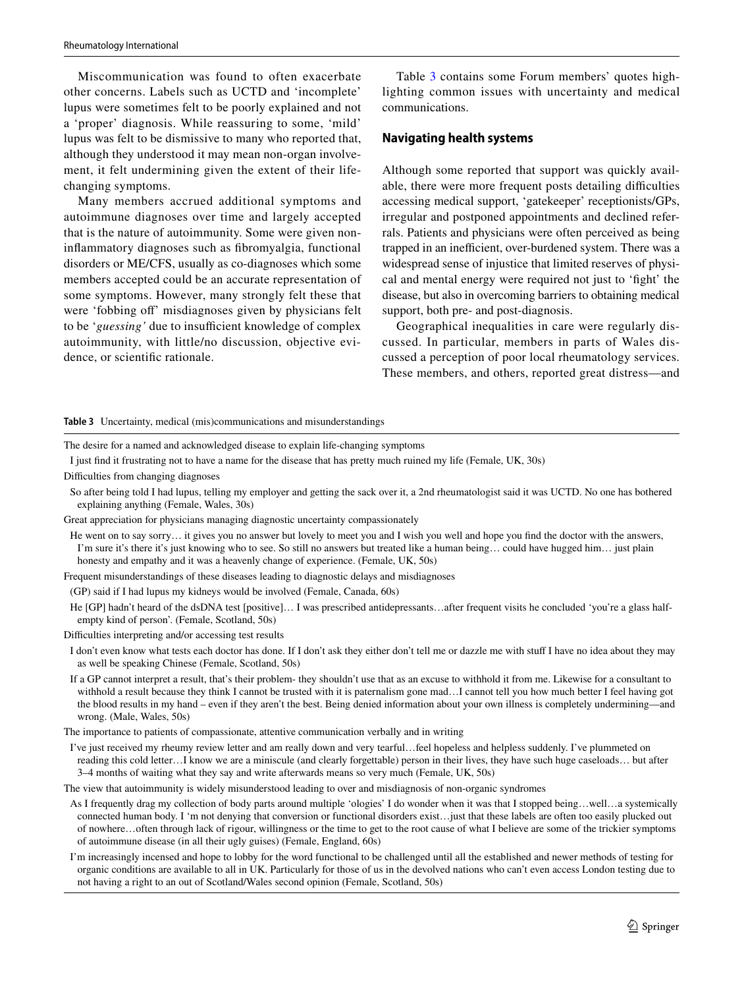Miscommunication was found to often exacerbate other concerns. Labels such as UCTD and 'incomplete' lupus were sometimes felt to be poorly explained and not a 'proper' diagnosis. While reassuring to some, 'mild' lupus was felt to be dismissive to many who reported that, although they understood it may mean non-organ involvement, it felt undermining given the extent of their lifechanging symptoms.

Many members accrued additional symptoms and autoimmune diagnoses over time and largely accepted that is the nature of autoimmunity. Some were given noninfammatory diagnoses such as fbromyalgia, functional disorders or ME/CFS, usually as co-diagnoses which some members accepted could be an accurate representation of some symptoms. However, many strongly felt these that were 'fobbing off' misdiagnoses given by physicians felt to be 'guessing' due to insufficient knowledge of complex autoimmunity, with little/no discussion, objective evidence, or scientific rationale.

Table [3](#page-4-0) contains some Forum members' quotes highlighting common issues with uncertainty and medical communications.

#### **Navigating health systems**

Although some reported that support was quickly available, there were more frequent posts detailing difficulties accessing medical support, 'gatekeeper' receptionists/GPs, irregular and postponed appointments and declined referrals. Patients and physicians were often perceived as being trapped in an inefficient, over-burdened system. There was a widespread sense of injustice that limited reserves of physical and mental energy were required not just to 'fght' the disease, but also in overcoming barriers to obtaining medical support, both pre- and post-diagnosis.

Geographical inequalities in care were regularly discussed. In particular, members in parts of Wales discussed a perception of poor local rheumatology services. These members, and others, reported great distress—and

#### <span id="page-4-0"></span>**Table 3** Uncertainty, medical (mis)communications and misunderstandings

The desire for a named and acknowledged disease to explain life-changing symptoms

I just fnd it frustrating not to have a name for the disease that has pretty much ruined my life (Female, UK, 30s)

Difficulties from changing diagnoses

 So after being told I had lupus, telling my employer and getting the sack over it, a 2nd rheumatologist said it was UCTD. No one has bothered explaining anything (Female, Wales, 30s)

Great appreciation for physicians managing diagnostic uncertainty compassionately

 He went on to say sorry… it gives you no answer but lovely to meet you and I wish you well and hope you fnd the doctor with the answers, I'm sure it's there it's just knowing who to see. So still no answers but treated like a human being… could have hugged him… just plain honesty and empathy and it was a heavenly change of experience. (Female, UK, 50s)

Frequent misunderstandings of these diseases leading to diagnostic delays and misdiagnoses

(GP) said if I had lupus my kidneys would be involved (Female, Canada, 60s)

 He [GP] hadn't heard of the dsDNA test [positive]… I was prescribed antidepressants…after frequent visits he concluded 'you're a glass halfempty kind of person'. (Female, Scotland, 50s)

Difficulties interpreting and/or accessing test results

 I don't even know what tests each doctor has done. If I don't ask they either don't tell me or dazzle me with stuf I have no idea about they may as well be speaking Chinese (Female, Scotland, 50s)

 If a GP cannot interpret a result, that's their problem- they shouldn't use that as an excuse to withhold it from me. Likewise for a consultant to withhold a result because they think I cannot be trusted with it is paternalism gone mad...I cannot tell you how much better I feel having got the blood results in my hand – even if they aren't the best. Being denied information about your own illness is completely undermining—and wrong. (Male, Wales, 50s)

The importance to patients of compassionate, attentive communication verbally and in writing

 I've just received my rheumy review letter and am really down and very tearful…feel hopeless and helpless suddenly. I've plummeted on reading this cold letter…I know we are a miniscule (and clearly forgettable) person in their lives, they have such huge caseloads… but after 3–4 months of waiting what they say and write afterwards means so very much (Female, UK, 50s)

The view that autoimmunity is widely misunderstood leading to over and misdiagnosis of non-organic syndromes

 As I frequently drag my collection of body parts around multiple 'ologies' I do wonder when it was that I stopped being…well…a systemically connected human body. I 'm not denying that conversion or functional disorders exist…just that these labels are often too easily plucked out of nowhere…often through lack of rigour, willingness or the time to get to the root cause of what I believe are some of the trickier symptoms of autoimmune disease (in all their ugly guises) (Female, England, 60s)

 I'm increasingly incensed and hope to lobby for the word functional to be challenged until all the established and newer methods of testing for organic conditions are available to all in UK. Particularly for those of us in the devolved nations who can't even access London testing due to not having a right to an out of Scotland/Wales second opinion (Female, Scotland, 50s)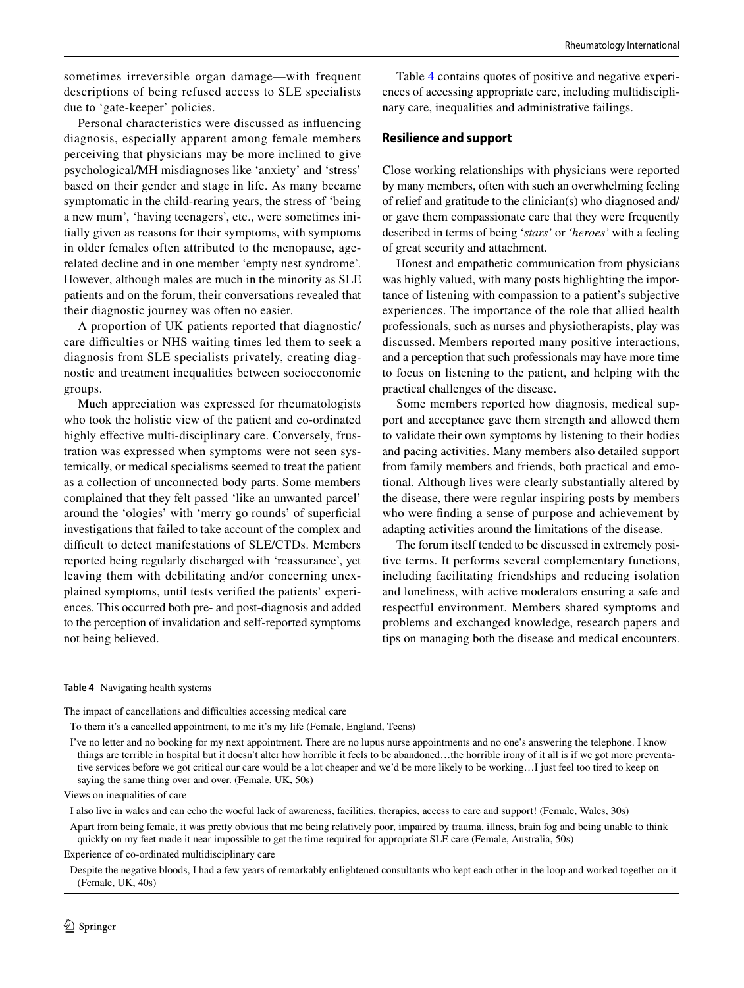sometimes irreversible organ damage—with frequent descriptions of being refused access to SLE specialists due to 'gate-keeper' policies.

Personal characteristics were discussed as infuencing diagnosis, especially apparent among female members perceiving that physicians may be more inclined to give psychological/MH misdiagnoses like 'anxiety' and 'stress' based on their gender and stage in life. As many became symptomatic in the child-rearing years, the stress of 'being a new mum', 'having teenagers', etc., were sometimes initially given as reasons for their symptoms, with symptoms in older females often attributed to the menopause, agerelated decline and in one member 'empty nest syndrome'. However, although males are much in the minority as SLE patients and on the forum, their conversations revealed that their diagnostic journey was often no easier.

A proportion of UK patients reported that diagnostic/ care difficulties or NHS waiting times led them to seek a diagnosis from SLE specialists privately, creating diagnostic and treatment inequalities between socioeconomic groups.

Much appreciation was expressed for rheumatologists who took the holistic view of the patient and co-ordinated highly effective multi-disciplinary care. Conversely, frustration was expressed when symptoms were not seen systemically, or medical specialisms seemed to treat the patient as a collection of unconnected body parts. Some members complained that they felt passed 'like an unwanted parcel' around the 'ologies' with 'merry go rounds' of superfcial investigations that failed to take account of the complex and difficult to detect manifestations of SLE/CTDs. Members reported being regularly discharged with 'reassurance', yet leaving them with debilitating and/or concerning unexplained symptoms, until tests verifed the patients' experiences. This occurred both pre- and post-diagnosis and added to the perception of invalidation and self-reported symptoms not being believed.

Table [4](#page-5-0) contains quotes of positive and negative experiences of accessing appropriate care, including multidisciplinary care, inequalities and administrative failings.

### **Resilience and support**

Close working relationships with physicians were reported by many members, often with such an overwhelming feeling of relief and gratitude to the clinician(s) who diagnosed and/ or gave them compassionate care that they were frequently described in terms of being '*stars'* or *'heroes'* with a feeling of great security and attachment.

Honest and empathetic communication from physicians was highly valued, with many posts highlighting the importance of listening with compassion to a patient's subjective experiences. The importance of the role that allied health professionals, such as nurses and physiotherapists, play was discussed. Members reported many positive interactions, and a perception that such professionals may have more time to focus on listening to the patient, and helping with the practical challenges of the disease.

Some members reported how diagnosis, medical support and acceptance gave them strength and allowed them to validate their own symptoms by listening to their bodies and pacing activities. Many members also detailed support from family members and friends, both practical and emotional. Although lives were clearly substantially altered by the disease, there were regular inspiring posts by members who were fnding a sense of purpose and achievement by adapting activities around the limitations of the disease.

The forum itself tended to be discussed in extremely positive terms. It performs several complementary functions, including facilitating friendships and reducing isolation and loneliness, with active moderators ensuring a safe and respectful environment. Members shared symptoms and problems and exchanged knowledge, research papers and tips on managing both the disease and medical encounters.

#### <span id="page-5-0"></span>**Table 4** Navigating health systems

The impact of cancellations and difficulties accessing medical care

To them it's a cancelled appointment, to me it's my life (Female, England, Teens)

Views on inequalities of care

I also live in wales and can echo the woeful lack of awareness, facilities, therapies, access to care and support! (Female, Wales, 30s)

 Apart from being female, it was pretty obvious that me being relatively poor, impaired by trauma, illness, brain fog and being unable to think quickly on my feet made it near impossible to get the time required for appropriate SLE care (Female, Australia, 50s)

Experience of co-ordinated multidisciplinary care

 Despite the negative bloods, I had a few years of remarkably enlightened consultants who kept each other in the loop and worked together on it (Female, UK, 40s)

I've no letter and no booking for my next appointment. There are no lupus nurse appointments and no one's answering the telephone. I know things are terrible in hospital but it doesn't alter how horrible it feels to be abandoned…the horrible irony of it all is if we got more preventative services before we got critical our care would be a lot cheaper and we'd be more likely to be working…I just feel too tired to keep on saying the same thing over and over. (Female, UK, 50s)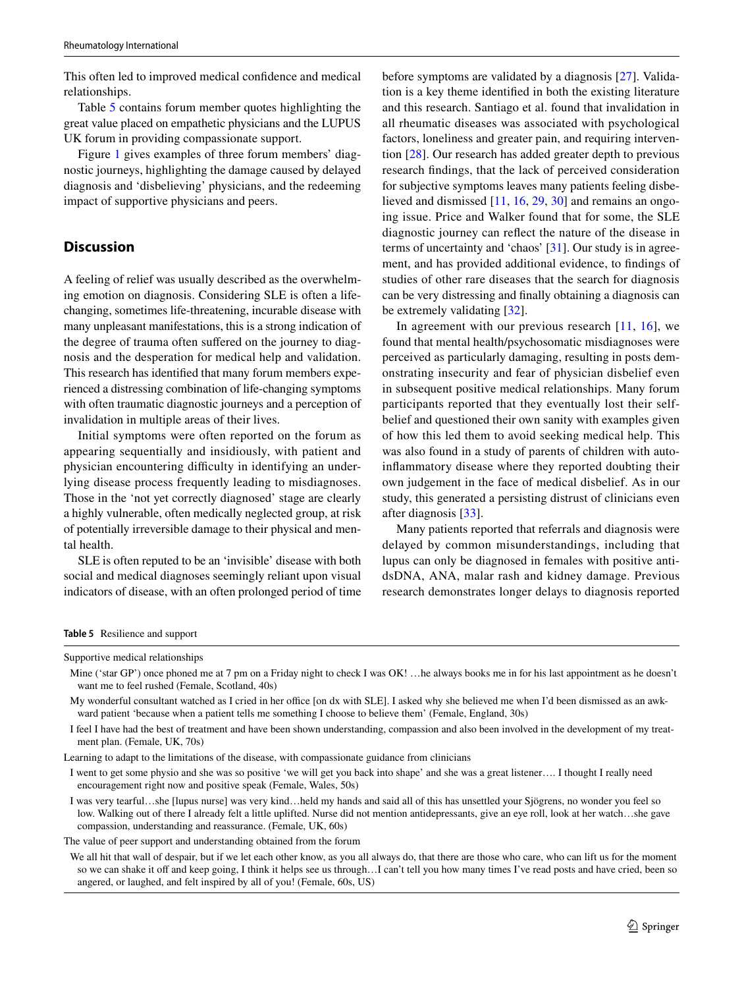This often led to improved medical confdence and medical relationships.

Table [5](#page-6-0) contains forum member quotes highlighting the great value placed on empathetic physicians and the LUPUS UK forum in providing compassionate support.

Figure [1](#page-7-0) gives examples of three forum members' diagnostic journeys, highlighting the damage caused by delayed diagnosis and 'disbelieving' physicians, and the redeeming impact of supportive physicians and peers.

# **Discussion**

A feeling of relief was usually described as the overwhelming emotion on diagnosis. Considering SLE is often a lifechanging, sometimes life-threatening, incurable disease with many unpleasant manifestations, this is a strong indication of the degree of trauma often sufered on the journey to diagnosis and the desperation for medical help and validation. This research has identifed that many forum members experienced a distressing combination of life-changing symptoms with often traumatic diagnostic journeys and a perception of invalidation in multiple areas of their lives.

Initial symptoms were often reported on the forum as appearing sequentially and insidiously, with patient and physician encountering difficulty in identifying an underlying disease process frequently leading to misdiagnoses. Those in the 'not yet correctly diagnosed' stage are clearly a highly vulnerable, often medically neglected group, at risk of potentially irreversible damage to their physical and mental health.

SLE is often reputed to be an 'invisible' disease with both social and medical diagnoses seemingly reliant upon visual indicators of disease, with an often prolonged period of time before symptoms are validated by a diagnosis [\[27](#page-10-22)]. Validation is a key theme identifed in both the existing literature and this research. Santiago et al. found that invalidation in all rheumatic diseases was associated with psychological factors, loneliness and greater pain, and requiring intervention [[28\]](#page-10-23). Our research has added greater depth to previous research fndings, that the lack of perceived consideration for subjective symptoms leaves many patients feeling disbelieved and dismissed [[11,](#page-10-9) [16](#page-10-11), [29](#page-10-24), [30](#page-10-25)] and remains an ongoing issue. Price and Walker found that for some, the SLE diagnostic journey can refect the nature of the disease in terms of uncertainty and 'chaos' [\[31](#page-10-26)]. Our study is in agreement, and has provided additional evidence, to fndings of studies of other rare diseases that the search for diagnosis can be very distressing and fnally obtaining a diagnosis can be extremely validating [[32\]](#page-10-27).

In agreement with our previous research  $[11, 16]$  $[11, 16]$  $[11, 16]$  $[11, 16]$ , we found that mental health/psychosomatic misdiagnoses were perceived as particularly damaging, resulting in posts demonstrating insecurity and fear of physician disbelief even in subsequent positive medical relationships. Many forum participants reported that they eventually lost their selfbelief and questioned their own sanity with examples given of how this led them to avoid seeking medical help. This was also found in a study of parents of children with autoinfammatory disease where they reported doubting their own judgement in the face of medical disbelief. As in our study, this generated a persisting distrust of clinicians even after diagnosis [\[33](#page-10-28)].

Many patients reported that referrals and diagnosis were delayed by common misunderstandings, including that lupus can only be diagnosed in females with positive antidsDNA, ANA, malar rash and kidney damage. Previous research demonstrates longer delays to diagnosis reported

<span id="page-6-0"></span>**Table 5** Resilience and support

Supportive medical relationships

 Mine ('star GP') once phoned me at 7 pm on a Friday night to check I was OK! …he always books me in for his last appointment as he doesn't want me to feel rushed (Female, Scotland, 40s)

My wonderful consultant watched as I cried in her office [on dx with SLE]. I asked why she believed me when I'd been dismissed as an awkward patient 'because when a patient tells me something I choose to believe them' (Female, England, 30s)

 I feel I have had the best of treatment and have been shown understanding, compassion and also been involved in the development of my treatment plan. (Female, UK, 70s)

Learning to adapt to the limitations of the disease, with compassionate guidance from clinicians

 I went to get some physio and she was so positive 'we will get you back into shape' and she was a great listener…. I thought I really need encouragement right now and positive speak (Female, Wales, 50s)

 I was very tearful…she [lupus nurse] was very kind…held my hands and said all of this has unsettled your Sjögrens, no wonder you feel so low. Walking out of there I already felt a little uplifted. Nurse did not mention antidepressants, give an eye roll, look at her watch…she gave compassion, understanding and reassurance. (Female, UK, 60s)

The value of peer support and understanding obtained from the forum

 We all hit that wall of despair, but if we let each other know, as you all always do, that there are those who care, who can lift us for the moment so we can shake it off and keep going, I think it helps see us through...I can't tell you how many times I've read posts and have cried, been so angered, or laughed, and felt inspired by all of you! (Female, 60s, US)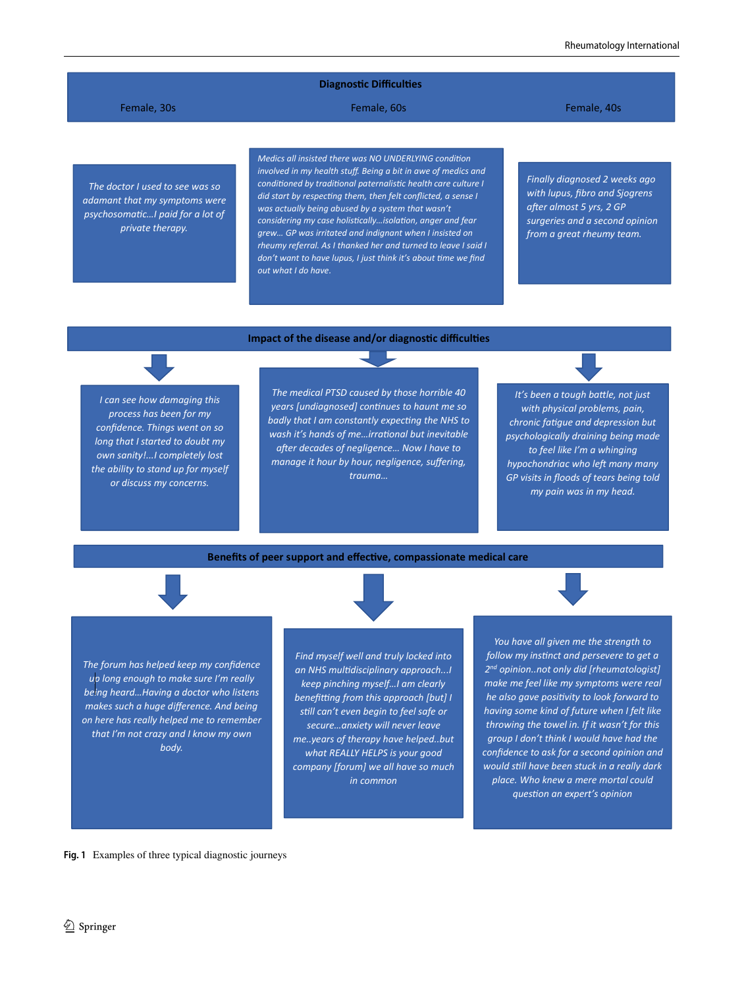#### **Diagnostic Difficulties**

#### **Female, 30s Female, 60s Female, 60s Female, 60s** Female, 60s Female, 40s Female, 40s

*The doctor I used to see was so adamant that my symptoms were psychosoma
c…I paid for a lot of private therapy.*

*Medics all insisted there was NO UNDERLYING condition involved in my health stuff. Being a bit in awe of medics and* conditioned by traditional paternalistic health care culture I did start by respecting them, then felt conflicted, a sense I *was actually being abused by a system that wasn't* considering my case holistically...isolation, anger and fear *grew… GP was irritated and indignant when I insisted on rheumy referral. As I thanked her and turned to leave I said I don't want to have lupus, I just think it's about 
me we find out what I do have.*

*Finally diagnosed 2 weeks ago with lupus, fibro and Sjogrens after almost 5 yrs, 2 GP surgeries and a second opinion from a great rheumy team.*

#### **Impact of the disease and/or diagnostic difficulties**

*I can see how damaging this process has been for my confidence. Things went on so long that I started to doubt my own sanity!...I completely lost the ability to stand up for myself or discuss my concerns.*

*The medical PTSD caused by those horrible 40 years [undiagnosed] con
nues to haunt me so*  badly that I am constantly expecting the NHS to wash it's hands of me...irrational but inevitable *after decades of negligence... Now I have to manage it hour by hour, negligence, suffering, trauma…*

*It's been a tough battle, not just with physical problems, pain, chronic fa
gue and depression but psychologically draining being made to feel like I'm a whinging* hypochondriac who left many many *GP visits in floods of tears being told my pain was in my head.*

#### **Benefits of peer support and effective, compassionate medical care**

*The forum has helped keep my confidence up long enough to make sure I'm really being heard…Having a doctor who listens makes such a huge difference. And being on here has really helped me to remember that I'm not crazy and I know my own*

*body.*

*Find myself well and truly locked into an NHS mul
disciplinary approach...I keep pinching myself…I am clearly benefitting from this approach [but] I s
ll can't even begin to feel safe or secure…anxiety will never leave me..years of therapy have helped..but what REALLY HELPS is your good company [forum] we all have so much in common*

*You have all given me the strength to* follow my instinct and persevere to get a *2nd opinion..not only did [rheumatologist] make me feel like my symptoms were real*  he also gave positivity to look forward to *having some kind of future when I felt like throwing the towel in. If it wasn't for this group I don't think I would have had the confidence to ask for a second opinion and would s
ll have been stuck in a really dark place. Who knew a mere mortal could guestion an expert's opinion* 

<span id="page-7-0"></span>**Fig. 1** Examples of three typical diagnostic journeys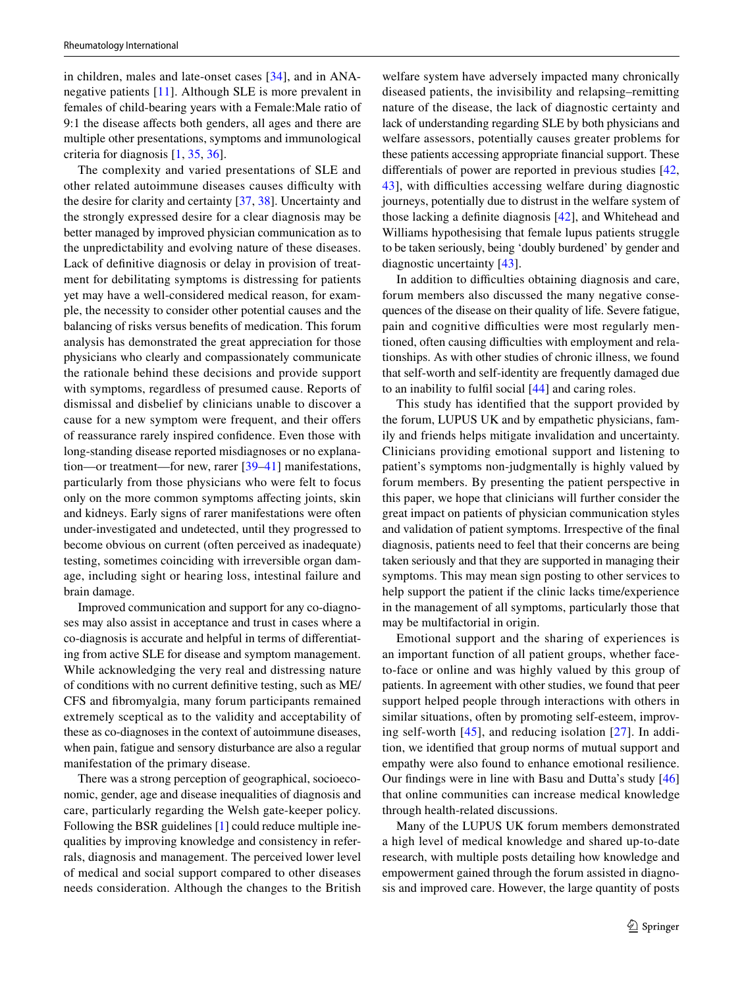in children, males and late-onset cases [\[34\]](#page-10-29), and in ANAnegative patients [\[11](#page-10-9)]. Although SLE is more prevalent in females of child-bearing years with a Female:Male ratio of 9:1 the disease afects both genders, all ages and there are multiple other presentations, symptoms and immunological criteria for diagnosis [\[1,](#page-9-0) [35,](#page-10-30) [36\]](#page-10-31).

The complexity and varied presentations of SLE and other related autoimmune diseases causes difficulty with the desire for clarity and certainty [[37,](#page-10-32) [38\]](#page-10-33). Uncertainty and the strongly expressed desire for a clear diagnosis may be better managed by improved physician communication as to the unpredictability and evolving nature of these diseases. Lack of defnitive diagnosis or delay in provision of treatment for debilitating symptoms is distressing for patients yet may have a well-considered medical reason, for example, the necessity to consider other potential causes and the balancing of risks versus benefts of medication. This forum analysis has demonstrated the great appreciation for those physicians who clearly and compassionately communicate the rationale behind these decisions and provide support with symptoms, regardless of presumed cause. Reports of dismissal and disbelief by clinicians unable to discover a cause for a new symptom were frequent, and their offers of reassurance rarely inspired confdence. Even those with long-standing disease reported misdiagnoses or no explanation—or treatment—for new, rarer [[39–](#page-10-34)[41\]](#page-10-35) manifestations, particularly from those physicians who were felt to focus only on the more common symptoms afecting joints, skin and kidneys. Early signs of rarer manifestations were often under-investigated and undetected, until they progressed to become obvious on current (often perceived as inadequate) testing, sometimes coinciding with irreversible organ damage, including sight or hearing loss, intestinal failure and brain damage.

Improved communication and support for any co-diagnoses may also assist in acceptance and trust in cases where a co-diagnosis is accurate and helpful in terms of diferentiating from active SLE for disease and symptom management. While acknowledging the very real and distressing nature of conditions with no current defnitive testing, such as ME/ CFS and fbromyalgia, many forum participants remained extremely sceptical as to the validity and acceptability of these as co-diagnoses in the context of autoimmune diseases, when pain, fatigue and sensory disturbance are also a regular manifestation of the primary disease.

There was a strong perception of geographical, socioeconomic, gender, age and disease inequalities of diagnosis and care, particularly regarding the Welsh gate-keeper policy. Following the BSR guidelines [\[1](#page-9-0)] could reduce multiple inequalities by improving knowledge and consistency in referrals, diagnosis and management. The perceived lower level of medical and social support compared to other diseases needs consideration. Although the changes to the British

welfare system have adversely impacted many chronically diseased patients, the invisibility and relapsing–remitting nature of the disease, the lack of diagnostic certainty and lack of understanding regarding SLE by both physicians and welfare assessors, potentially causes greater problems for these patients accessing appropriate fnancial support. These diferentials of power are reported in previous studies [[42,](#page-10-36) [43](#page-10-37)], with difficulties accessing welfare during diagnostic journeys, potentially due to distrust in the welfare system of those lacking a defnite diagnosis [\[42](#page-10-36)], and Whitehead and Williams hypothesising that female lupus patients struggle to be taken seriously, being 'doubly burdened' by gender and diagnostic uncertainty [[43\]](#page-10-37).

In addition to difficulties obtaining diagnosis and care, forum members also discussed the many negative consequences of the disease on their quality of life. Severe fatigue, pain and cognitive difficulties were most regularly mentioned, often causing difficulties with employment and relationships. As with other studies of chronic illness, we found that self-worth and self-identity are frequently damaged due to an inability to fulfl social [\[44\]](#page-10-38) and caring roles.

This study has identifed that the support provided by the forum, LUPUS UK and by empathetic physicians, family and friends helps mitigate invalidation and uncertainty. Clinicians providing emotional support and listening to patient's symptoms non-judgmentally is highly valued by forum members. By presenting the patient perspective in this paper, we hope that clinicians will further consider the great impact on patients of physician communication styles and validation of patient symptoms. Irrespective of the fnal diagnosis, patients need to feel that their concerns are being taken seriously and that they are supported in managing their symptoms. This may mean sign posting to other services to help support the patient if the clinic lacks time/experience in the management of all symptoms, particularly those that may be multifactorial in origin.

Emotional support and the sharing of experiences is an important function of all patient groups, whether faceto-face or online and was highly valued by this group of patients. In agreement with other studies, we found that peer support helped people through interactions with others in similar situations, often by promoting self-esteem, improving self-worth [[45](#page-11-0)], and reducing isolation [[27](#page-10-22)]. In addition, we identifed that group norms of mutual support and empathy were also found to enhance emotional resilience. Our fndings were in line with Basu and Dutta's study [[46\]](#page-11-1) that online communities can increase medical knowledge through health-related discussions.

Many of the LUPUS UK forum members demonstrated a high level of medical knowledge and shared up-to-date research, with multiple posts detailing how knowledge and empowerment gained through the forum assisted in diagnosis and improved care. However, the large quantity of posts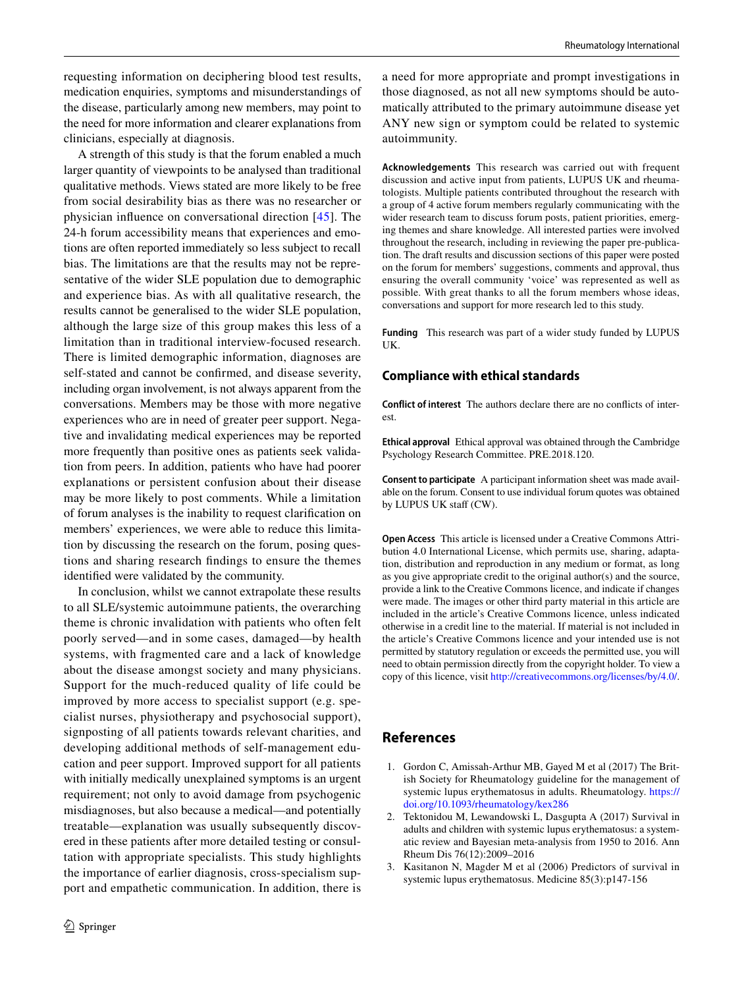requesting information on deciphering blood test results, medication enquiries, symptoms and misunderstandings of the disease, particularly among new members, may point to the need for more information and clearer explanations from clinicians, especially at diagnosis.

A strength of this study is that the forum enabled a much larger quantity of viewpoints to be analysed than traditional qualitative methods. Views stated are more likely to be free from social desirability bias as there was no researcher or physician infuence on conversational direction [[45](#page-11-0)]. The 24-h forum accessibility means that experiences and emotions are often reported immediately so less subject to recall bias. The limitations are that the results may not be representative of the wider SLE population due to demographic and experience bias. As with all qualitative research, the results cannot be generalised to the wider SLE population, although the large size of this group makes this less of a limitation than in traditional interview-focused research. There is limited demographic information, diagnoses are self-stated and cannot be confrmed, and disease severity, including organ involvement, is not always apparent from the conversations. Members may be those with more negative experiences who are in need of greater peer support. Negative and invalidating medical experiences may be reported more frequently than positive ones as patients seek validation from peers. In addition, patients who have had poorer explanations or persistent confusion about their disease may be more likely to post comments. While a limitation of forum analyses is the inability to request clarifcation on members' experiences, we were able to reduce this limitation by discussing the research on the forum, posing questions and sharing research fndings to ensure the themes identifed were validated by the community.

In conclusion, whilst we cannot extrapolate these results to all SLE/systemic autoimmune patients, the overarching theme is chronic invalidation with patients who often felt poorly served—and in some cases, damaged—by health systems, with fragmented care and a lack of knowledge about the disease amongst society and many physicians. Support for the much-reduced quality of life could be improved by more access to specialist support (e.g. specialist nurses, physiotherapy and psychosocial support), signposting of all patients towards relevant charities, and developing additional methods of self-management education and peer support. Improved support for all patients with initially medically unexplained symptoms is an urgent requirement; not only to avoid damage from psychogenic misdiagnoses, but also because a medical—and potentially treatable—explanation was usually subsequently discovered in these patients after more detailed testing or consultation with appropriate specialists. This study highlights the importance of earlier diagnosis, cross-specialism support and empathetic communication. In addition, there is a need for more appropriate and prompt investigations in those diagnosed, as not all new symptoms should be automatically attributed to the primary autoimmune disease yet ANY new sign or symptom could be related to systemic autoimmunity.

**Acknowledgements** This research was carried out with frequent discussion and active input from patients, LUPUS UK and rheumatologists. Multiple patients contributed throughout the research with a group of 4 active forum members regularly communicating with the wider research team to discuss forum posts, patient priorities, emerging themes and share knowledge. All interested parties were involved throughout the research, including in reviewing the paper pre-publication. The draft results and discussion sections of this paper were posted on the forum for members' suggestions, comments and approval, thus ensuring the overall community 'voice' was represented as well as possible. With great thanks to all the forum members whose ideas, conversations and support for more research led to this study.

**Funding** This research was part of a wider study funded by LUPUS UK.

### **Compliance with ethical standards**

**Conflict of interest** The authors declare there are no conficts of interest.

**Ethical approval** Ethical approval was obtained through the Cambridge Psychology Research Committee. PRE.2018.120.

**Consent to participate** A participant information sheet was made available on the forum. Consent to use individual forum quotes was obtained by LUPUS UK staff (CW).

**Open Access** This article is licensed under a Creative Commons Attribution 4.0 International License, which permits use, sharing, adaptation, distribution and reproduction in any medium or format, as long as you give appropriate credit to the original author(s) and the source, provide a link to the Creative Commons licence, and indicate if changes were made. The images or other third party material in this article are included in the article's Creative Commons licence, unless indicated otherwise in a credit line to the material. If material is not included in the article's Creative Commons licence and your intended use is not permitted by statutory regulation or exceeds the permitted use, you will need to obtain permission directly from the copyright holder. To view a copy of this licence, visit<http://creativecommons.org/licenses/by/4.0/>.

# **References**

- <span id="page-9-0"></span>1. Gordon C, Amissah-Arthur MB, Gayed M et al (2017) The British Society for Rheumatology guideline for the management of systemic lupus erythematosus in adults. Rheumatology. [https://](https://doi.org/10.1093/rheumatology/kex286) [doi.org/10.1093/rheumatology/kex286](https://doi.org/10.1093/rheumatology/kex286)
- <span id="page-9-1"></span>2. Tektonidou M, Lewandowski L, Dasgupta A (2017) Survival in adults and children with systemic lupus erythematosus: a systematic review and Bayesian meta-analysis from 1950 to 2016. Ann Rheum Dis 76(12):2009–2016
- <span id="page-9-2"></span>3. Kasitanon N, Magder M et al (2006) Predictors of survival in systemic lupus erythematosus. Medicine 85(3):p147-156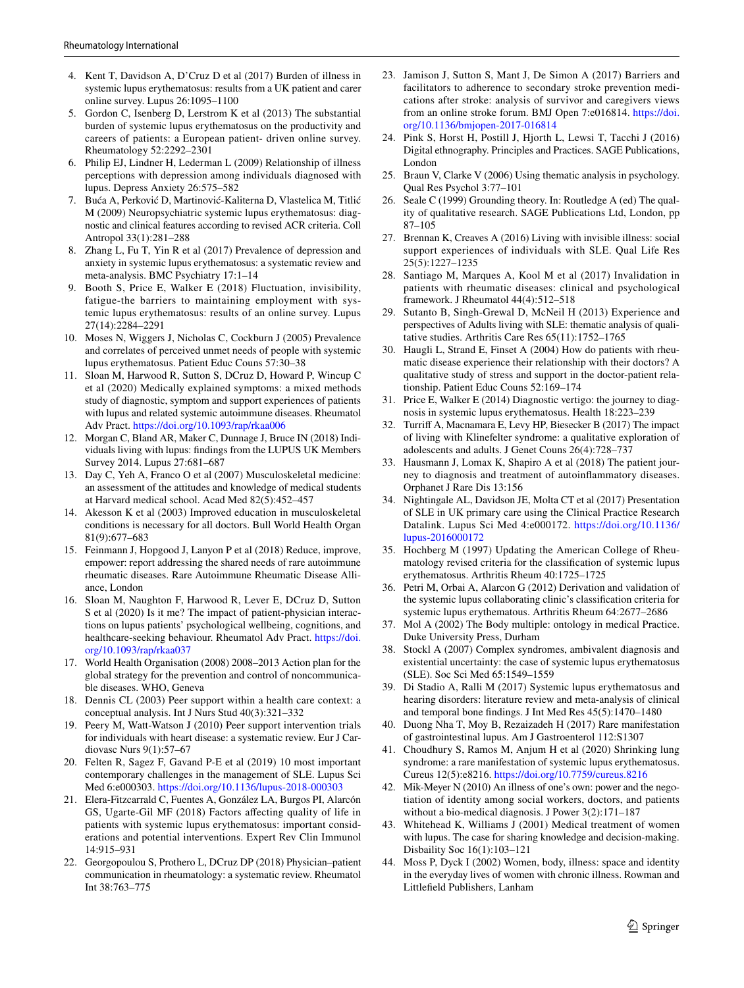- <span id="page-10-0"></span>4. Kent T, Davidson A, D'Cruz D et al (2017) Burden of illness in systemic lupus erythematosus: results from a UK patient and carer online survey. Lupus 26:1095–1100
- <span id="page-10-1"></span>5. Gordon C, Isenberg D, Lerstrom K et al (2013) The substantial burden of systemic lupus erythematosus on the productivity and careers of patients: a European patient- driven online survey. Rheumatology 52:2292–2301
- <span id="page-10-2"></span>6. Philip EJ, Lindner H, Lederman L (2009) Relationship of illness perceptions with depression among individuals diagnosed with lupus. Depress Anxiety 26:575–582
- 7. Buća A, Perković D, Martinović-Kaliterna D, Vlastelica M, Titlić M (2009) Neuropsychiatric systemic lupus erythematosus: diagnostic and clinical features according to revised ACR criteria. Coll Antropol 33(1):281–288
- <span id="page-10-3"></span>8. Zhang L, Fu T, Yin R et al (2017) Prevalence of depression and anxiety in systemic lupus erythematosus: a systematic review and meta-analysis. BMC Psychiatry 17:1–14
- <span id="page-10-4"></span>9. Booth S, Price E, Walker E (2018) Fluctuation, invisibility, fatigue-the barriers to maintaining employment with systemic lupus erythematosus: results of an online survey. Lupus 27(14):2284–2291
- <span id="page-10-5"></span>10. Moses N, Wiggers J, Nicholas C, Cockburn J (2005) Prevalence and correlates of perceived unmet needs of people with systemic lupus erythematosus. Patient Educ Couns 57:30–38
- <span id="page-10-9"></span>11. Sloan M, Harwood R, Sutton S, DCruz D, Howard P, Wincup C et al (2020) Medically explained symptoms: a mixed methods study of diagnostic, symptom and support experiences of patients with lupus and related systemic autoimmune diseases. Rheumatol Adv Pract. <https://doi.org/10.1093/rap/rkaa006>
- <span id="page-10-6"></span>12. Morgan C, Bland AR, Maker C, Dunnage J, Bruce IN (2018) Individuals living with lupus: fndings from the LUPUS UK Members Survey 2014. Lupus 27:681–687
- <span id="page-10-7"></span>13. Day C, Yeh A, Franco O et al (2007) Musculoskeletal medicine: an assessment of the attitudes and knowledge of medical students at Harvard medical school. Acad Med 82(5):452–457
- <span id="page-10-8"></span>14. Akesson K et al (2003) Improved education in musculoskeletal conditions is necessary for all doctors. Bull World Health Organ 81(9):677–683
- <span id="page-10-10"></span>15. Feinmann J, Hopgood J, Lanyon P et al (2018) Reduce, improve, empower: report addressing the shared needs of rare autoimmune rheumatic diseases. Rare Autoimmune Rheumatic Disease Alliance, London
- <span id="page-10-11"></span>16. Sloan M, Naughton F, Harwood R, Lever E, DCruz D, Sutton S et al (2020) Is it me? The impact of patient-physician interactions on lupus patients' psychological wellbeing, cognitions, and healthcare-seeking behaviour. Rheumatol Adv Pract. [https://doi.](https://doi.org/10.1093/rap/rkaa037) [org/10.1093/rap/rkaa037](https://doi.org/10.1093/rap/rkaa037)
- <span id="page-10-12"></span>17. World Health Organisation (2008) 2008–2013 Action plan for the global strategy for the prevention and control of noncommunicable diseases. WHO, Geneva
- <span id="page-10-13"></span>18. Dennis CL (2003) Peer support within a health care context: a conceptual analysis. Int J Nurs Stud 40(3):321–332
- <span id="page-10-14"></span>19. Peery M, Watt-Watson J (2010) Peer support intervention trials for individuals with heart disease: a systematic review. Eur J Cardiovasc Nurs 9(1):57–67
- <span id="page-10-15"></span>20. Felten R, Sagez F, Gavand P-E et al (2019) 10 most important contemporary challenges in the management of SLE. Lupus Sci Med 6:e000303.<https://doi.org/10.1136/lupus-2018-000303>
- <span id="page-10-16"></span>21. Elera-Fitzcarrald C, Fuentes A, González LA, Burgos PI, Alarcón GS, Ugarte-Gil MF (2018) Factors afecting quality of life in patients with systemic lupus erythematosus: important considerations and potential interventions. Expert Rev Clin Immunol 14:915–931
- <span id="page-10-17"></span>22. Georgopoulou S, Prothero L, DCruz DP (2018) Physician–patient communication in rheumatology: a systematic review. Rheumatol Int 38:763–775
- <span id="page-10-18"></span>23. Jamison J, Sutton S, Mant J, De Simon A (2017) Barriers and facilitators to adherence to secondary stroke prevention medications after stroke: analysis of survivor and caregivers views from an online stroke forum. BMJ Open 7:e016814. [https://doi.](https://doi.org/10.1136/bmjopen-2017-016814) [org/10.1136/bmjopen-2017-016814](https://doi.org/10.1136/bmjopen-2017-016814)
- <span id="page-10-19"></span>24. Pink S, Horst H, Postill J, Hjorth L, Lewsi T, Tacchi J (2016) Digital ethnography. Principles and Practices. SAGE Publications, London
- <span id="page-10-20"></span>25. Braun V, Clarke V (2006) Using thematic analysis in psychology. Qual Res Psychol 3:77–101
- <span id="page-10-21"></span>26. Seale C (1999) Grounding theory. In: Routledge A (ed) The quality of qualitative research. SAGE Publications Ltd, London, pp 87–105
- <span id="page-10-22"></span>27. Brennan K, Creaves A (2016) Living with invisible illness: social support experiences of individuals with SLE. Qual Life Res 25(5):1227–1235
- <span id="page-10-23"></span>28. Santiago M, Marques A, Kool M et al (2017) Invalidation in patients with rheumatic diseases: clinical and psychological framework. J Rheumatol 44(4):512–518
- <span id="page-10-24"></span>29. Sutanto B, Singh-Grewal D, McNeil H (2013) Experience and perspectives of Adults living with SLE: thematic analysis of qualitative studies. Arthritis Care Res 65(11):1752–1765
- <span id="page-10-25"></span>30. Haugli L, Strand E, Finset A (2004) How do patients with rheumatic disease experience their relationship with their doctors? A qualitative study of stress and support in the doctor-patient relationship. Patient Educ Couns 52:169–174
- <span id="page-10-26"></span>31. Price E, Walker E (2014) Diagnostic vertigo: the journey to diagnosis in systemic lupus erythematosus. Health 18:223–239
- <span id="page-10-27"></span>32. Turrif A, Macnamara E, Levy HP, Biesecker B (2017) The impact of living with Klinefelter syndrome: a qualitative exploration of adolescents and adults. J Genet Couns 26(4):728–737
- <span id="page-10-28"></span>33. Hausmann J, Lomax K, Shapiro A et al (2018) The patient journey to diagnosis and treatment of autoinfammatory diseases. Orphanet J Rare Dis 13:156
- <span id="page-10-29"></span>34. Nightingale AL, Davidson JE, Molta CT et al (2017) Presentation of SLE in UK primary care using the Clinical Practice Research Datalink. Lupus Sci Med 4:e000172. [https://doi.org/10.1136/](https://doi.org/10.1136/lupus-2016000172) [lupus-2016000172](https://doi.org/10.1136/lupus-2016000172)
- <span id="page-10-30"></span>35. Hochberg M (1997) Updating the American College of Rheumatology revised criteria for the classifcation of systemic lupus erythematosus. Arthritis Rheum 40:1725–1725
- <span id="page-10-31"></span>36. Petri M, Orbai A, Alarcon G (2012) Derivation and validation of the systemic lupus collaborating clinic's classifcation criteria for systemic lupus erythematous. Arthritis Rheum 64:2677–2686
- <span id="page-10-32"></span>37. Mol A (2002) The Body multiple: ontology in medical Practice. Duke University Press, Durham
- <span id="page-10-33"></span>38. Stockl A (2007) Complex syndromes, ambivalent diagnosis and existential uncertainty: the case of systemic lupus erythematosus (SLE). Soc Sci Med 65:1549–1559
- <span id="page-10-34"></span>39. Di Stadio A, Ralli M (2017) Systemic lupus erythematosus and hearing disorders: literature review and meta-analysis of clinical and temporal bone fndings. J Int Med Res 45(5):1470–1480
- 40. Duong Nha T, Moy B, Rezaizadeh H (2017) Rare manifestation of gastrointestinal lupus. Am J Gastroenterol 112:S1307
- <span id="page-10-35"></span>41. Choudhury S, Ramos M, Anjum H et al (2020) Shrinking lung syndrome: a rare manifestation of systemic lupus erythematosus. Cureus 12(5):e8216. <https://doi.org/10.7759/cureus.8216>
- <span id="page-10-36"></span>42. Mik-Meyer N (2010) An illness of one's own: power and the negotiation of identity among social workers, doctors, and patients without a bio-medical diagnosis. J Power 3(2):171–187
- <span id="page-10-37"></span>43. Whitehead K, Williams J (2001) Medical treatment of women with lupus. The case for sharing knowledge and decision-making. Disbaility Soc 16(1):103–121
- <span id="page-10-38"></span>44. Moss P, Dyck I (2002) Women, body, illness: space and identity in the everyday lives of women with chronic illness. Rowman and Littlefeld Publishers, Lanham